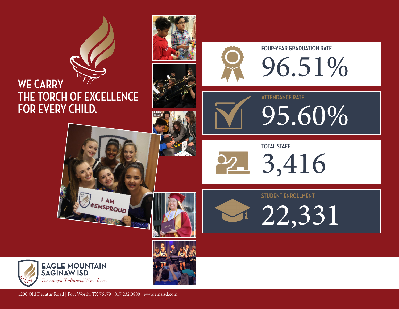





**FOUR-YEAR GRADUATION RATE** 96.51%

95.60%



**TOTAL STAFF** 3,416

**ATTENDANCE RATE**

**STUDENT ENROLLMENT**

22,331

**EAGLE MOUNTAIN SAGINAW ISD** .<br>Fostering a Culture of Excellence



1200 Old Decatur Road | Fort Worth, TX 76179 | 817.232.0880 | www.emsisd.com

 $IAM$ EMSPROUD